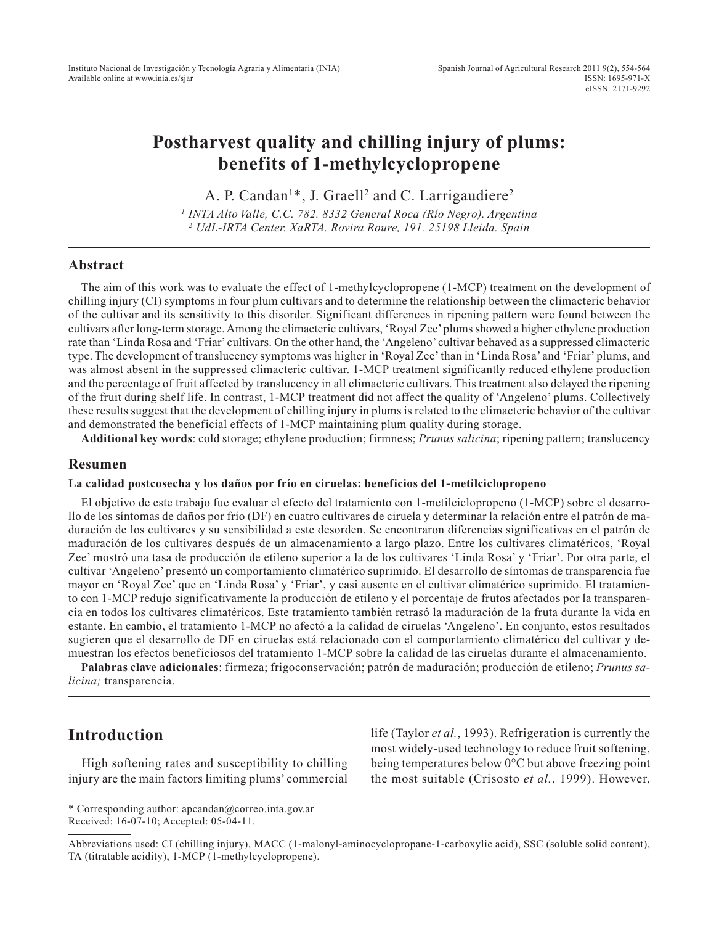# **Postharvest quality and chilling injury of plums: benefits of 1-methylcyclopropene**

A. P. Candan<sup>1\*</sup>, J. Graell<sup>2</sup> and C. Larrigaudiere<sup>2</sup>

*1 INTA Alto Valle, C.C. 782. 8332 General Roca (Río Negro). Argentina 2 UdL-IRTA Center. XaRTA. Rovira Roure, 191. 25198 Lleida. Spain*

### **Abstract**

The aim of this work was to evaluate the effect of 1-methylcyclopropene (1-MCP) treatment on the development of chilling injury (CI) symptoms in four plum cultivars and to determine the relationship between the climacteric behavior of the cultivar and its sensitivity to this disorder. Significant differences in ripening pattern were found between the cultivars after long-term storage. Among the climacteric cultivars, 'Royal Zee' plums showed a higher ethylene production rate than 'Linda Rosa and 'Friar' cultivars. On the other hand, the 'Angeleno' cultivar behaved as a suppressed climacteric type. The development of translucency symptoms was higher in 'Royal Zee' than in 'Linda Rosa' and 'Friar' plums, and was almost absent in the suppressed climacteric cultivar. 1-MCP treatment significantly reduced ethylene production and the percentage of fruit affected by translucency in all climacteric cultivars. This treatment also delayed the ripening of the fruit during shelf life. In contrast, 1-MCP treatment did not affect the quality of 'Angeleno' plums. Collectively these results suggest that the development of chilling injury in plums is related to the climacteric behavior of the cultivar and demonstrated the beneficial effects of 1-MCP maintaining plum quality during storage.

**Additional key words**: cold storage; ethylene production; firmness; *Prunus salicina*; ripening pattern; translucency

#### **Resumen**

#### **La calidad postcosecha y los daños por frío en ciruelas: beneficios del 1-metilciclopropeno**

El objetivo de este trabajo fue evaluar el efecto del tratamiento con 1-metilciclopropeno (1-MCP) sobre el desarrollo de los síntomas de daños por frío (DF) en cuatro cultivares de ciruela y determinar la relación entre el patrón de maduración de los cultivares y su sensibilidad a este desorden. Se encontraron diferencias significativas en el patrón de maduración de los cultivares después de un almacenamiento a largo plazo. Entre los cultivares climatéricos, 'Royal Zee' mostró una tasa de producción de etileno superior a la de los cultivares 'Linda Rosa' y 'Friar'. Por otra parte, el cultivar 'Angeleno' presentó un comportamiento climatérico suprimido. El desarrollo de síntomas de transparencia fue mayor en 'Royal Zee' que en 'Linda Rosa' y 'Friar', y casi ausente en el cultivar climatérico suprimido. El tratamiento con 1-MCP redujo significativamente la producción de etileno y el porcentaje de frutos afectados por la transparencia en todos los cultivares climatéricos. Este tratamiento también retrasó la maduración de la fruta durante la vida en estante. En cambio, el tratamiento 1-MCP no afectó a la calidad de ciruelas 'Angeleno'. En conjunto, estos resultados sugieren que el desarrollo de DF en ciruelas está relacionado con el comportamiento climatérico del cultivar y demuestran los efectos beneficiosos del tratamiento 1-MCP sobre la calidad de las ciruelas durante el almacenamiento.

**Palabras clave adicionales**: firmeza; frigoconservación; patrón de maduración; producción de etileno; *Prunus salicina;* transparencia.

# **Introduction**

High softening rates and susceptibility to chilling injury are the main factors limiting plums' commercial life (Taylor *et al.*, 1993). Refrigeration is currently the most widely-used technology to reduce fruit softening, being temperatures below 0°C but above freezing point the most suitable (Crisosto *et al.*, 1999). However,

<sup>\*</sup> Corresponding author: apcandan@correo.inta.gov.ar Received: 16-07-10; Accepted: 05-04-11.

Abbreviations used: CI (chilling injury), MACC (1-malonyl-aminocyclopropane-1-carboxylic acid), SSC (soluble solid content), TA (titratable acidity), 1-MCP (1-methylcyclopropene).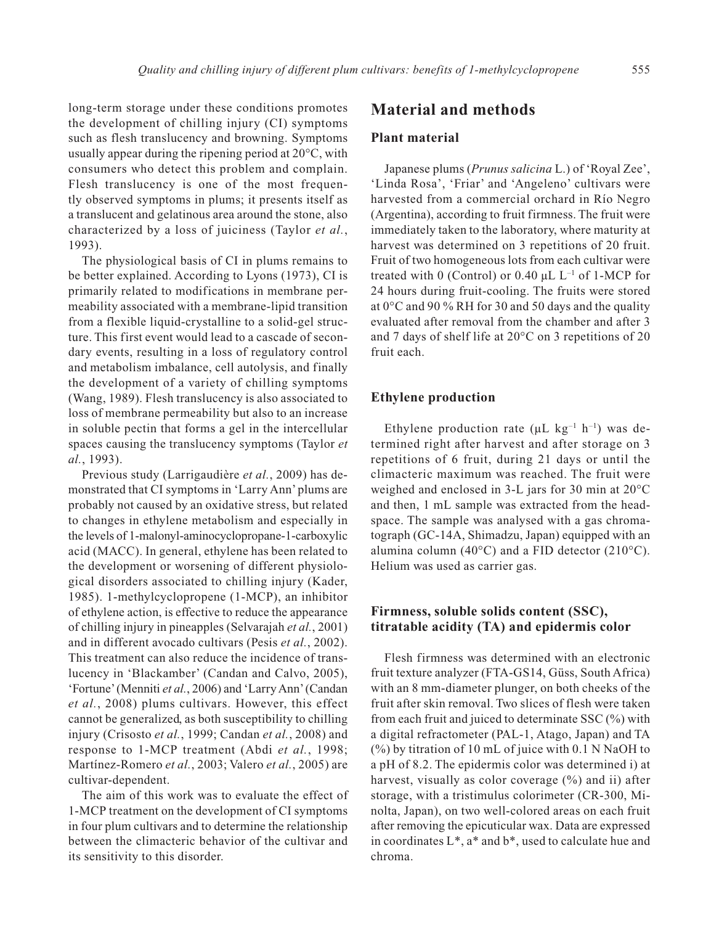long-term storage under these conditions promotes the development of chilling injury (CI) symptoms such as flesh translucency and browning. Symptoms usually appear during the ripening period at 20°C, with consumers who detect this problem and complain. Flesh translucency is one of the most frequently observed symptoms in plums; it presents itself as a translucent and gelatinous area around the stone, also characterized by a loss of juiciness (Taylor *et al.*, 1993).

The physiological basis of CI in plums remains to be better explained. According to Lyons (1973), CI is primarily related to modifications in membrane permeability associated with a membrane-lipid transition from a flexible liquid-crystalline to a solid-gel structure. This first event would lead to a cascade of secondary events, resulting in a loss of regulatory control and metabolism imbalance, cell autolysis, and finally the development of a variety of chilling symptoms (Wang, 1989). Flesh translucency is also associated to loss of membrane permeability but also to an increase in soluble pectin that forms a gel in the intercellular spaces causing the translucency symptoms (Taylor *et al.*, 1993).

Previous study (Larrigaudière *et al.*, 2009) has demonstrated that CI symptoms in 'Larry Ann' plums are probably not caused by an oxidative stress, but related to changes in ethylene metabolism and especially in the levels of 1-malonyl-aminocyclopropane-1-carboxylic acid (MACC). In general, ethylene has been related to the development or worsening of different physiological disorders associated to chilling injury (Kader, 1985). 1-methylcyclopropene (1-MCP), an inhibitor of ethylene action, is effective to reduce the appearance of chilling injury in pineapples (Selvarajah *et al.*, 2001) and in different avocado cultivars (Pesis *et al.*, 2002). This treatment can also reduce the incidence of translucency in 'Blackamber' (Candan and Calvo, 2005), 'Fortune'(Menniti *et al.*, 2006) and 'Larry Ann'(Candan *et al.*, 2008) plums cultivars. However, this effect cannot be generalized, as both susceptibility to chilling injury (Crisosto *et al.*, 1999; Candan *et al.*, 2008) and response to 1-MCP treatment (Abdi *et al.*, 1998; Martínez-Romero *et al.*, 2003; Valero *et al.*, 2005) are cultivar-dependent.

The aim of this work was to evaluate the effect of 1-MCP treatment on the development of CI symptoms in four plum cultivars and to determine the relationship between the climacteric behavior of the cultivar and its sensitivity to this disorder.

# **Material and methods**

#### **Plant material**

Japanese plums (*Prunus salicina* L.) of 'Royal Zee', 'Linda Rosa', 'Friar' and 'Angeleno' cultivars were harvested from a commercial orchard in Río Negro (Argentina), according to fruit firmness. The fruit were immediately taken to the laboratory, where maturity at harvest was determined on 3 repetitions of 20 fruit. Fruit of two homogeneous lots from each cultivar were treated with 0 (Control) or 0.40  $\mu$ L L<sup>-1</sup> of 1-MCP for 24 hours during fruit-cooling. The fruits were stored at 0°C and 90 % RH for 30 and 50 days and the quality evaluated after removal from the chamber and after 3 and 7 days of shelf life at 20°C on 3 repetitions of 20 fruit each.

### **Ethylene production**

Ethylene production rate ( $\mu$ L kg<sup>-1</sup> h<sup>-1</sup>) was determined right after harvest and after storage on 3 repetitions of 6 fruit, during 21 days or until the climacteric maximum was reached. The fruit were weighed and enclosed in 3-L jars for 30 min at 20°C and then, 1 mL sample was extracted from the headspace. The sample was analysed with a gas chromatograph (GC-14A, Shimadzu, Japan) equipped with an alumina column (40 $^{\circ}$ C) and a FID detector (210 $^{\circ}$ C). Helium was used as carrier gas.

## **Firmness, soluble solids content (SSC), titratable acidity (TA) and epidermis color**

Flesh firmness was determined with an electronic fruit texture analyzer (FTA-GS14, Güss, South Africa) with an 8 mm-diameter plunger, on both cheeks of the fruit after skin removal. Two slices of flesh were taken from each fruit and juiced to determinate SSC (%) with a digital refractometer (PAL-1, Atago, Japan) and TA  $(\%)$  by titration of 10 mL of juice with 0.1 N NaOH to a pH of 8.2. The epidermis color was determined i) at harvest, visually as color coverage (%) and ii) after storage, with a tristimulus colorimeter (CR-300, Minolta, Japan), on two well-colored areas on each fruit after removing the epicuticular wax. Data are expressed in coordinates  $L^*$ ,  $a^*$  and  $b^*$ , used to calculate hue and chroma.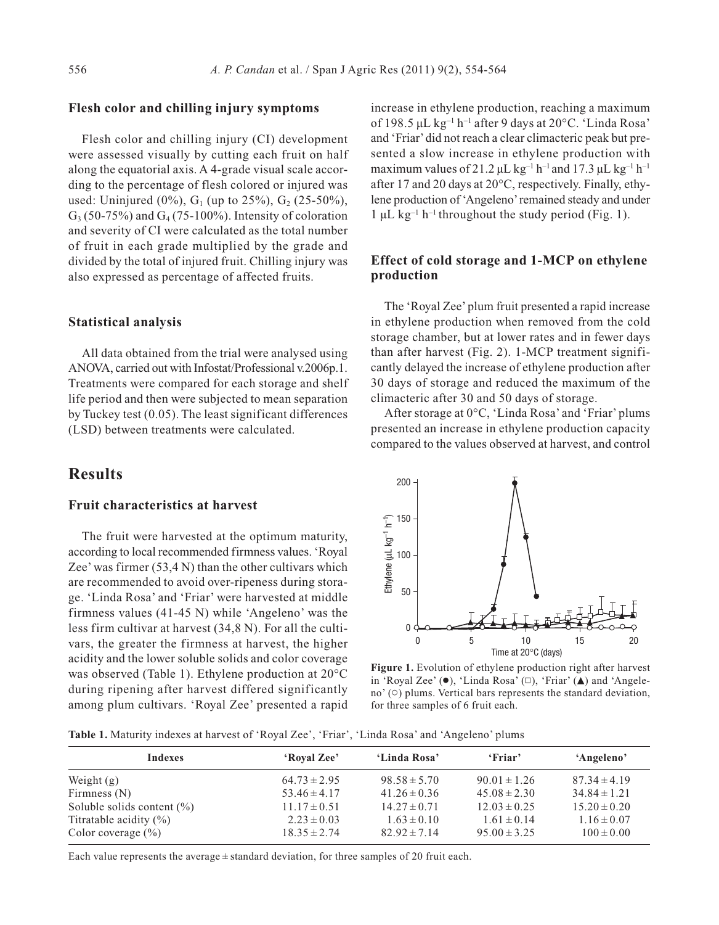#### **Flesh color and chilling injury symptoms**

Flesh color and chilling injury (CI) development were assessed visually by cutting each fruit on half along the equatorial axis. A 4-grade visual scale according to the percentage of flesh colored or injured was used: Uninjured (0%),  $G_1$  (up to 25%),  $G_2$  (25-50%),  $G_3$  (50-75%) and  $G_4$  (75-100%). Intensity of coloration and severity of CI were calculated as the total number of fruit in each grade multiplied by the grade and divided by the total of injured fruit. Chilling injury was also expressed as percentage of affected fruits.

#### **Statistical analysis**

All data obtained from the trial were analysed using ANOVA, carried out with Infostat/Professional v.2006p.1. Treatments were compared for each storage and shelf life period and then were subjected to mean separation by Tuckey test (0.05). The least significant differences (LSD) between treatments were calculated.

## **Results**

#### **Fruit characteristics at harvest**

The fruit were harvested at the optimum maturity, according to local recommended firmness values. 'Royal Zee' was firmer (53,4 N) than the other cultivars which are recommended to avoid over-ripeness during storage. 'Linda Rosa' and 'Friar' were harvested at middle firmness values (41-45 N) while 'Angeleno' was the less firm cultivar at harvest (34,8 N). For all the cultivars, the greater the firmness at harvest, the higher acidity and the lower soluble solids and color coverage was observed (Table 1). Ethylene production at 20°C during ripening after harvest differed significantly among plum cultivars. 'Royal Zee' presented a rapid

increase in ethylene production, reaching a maximum of 198.5  $\mu$ L kg<sup>-1</sup> h<sup>-1</sup> after 9 days at 20 $^{\circ}$ C. 'Linda Rosa' and 'Friar'did not reach a clear climacteric peak but presented a slow increase in ethylene production with maximum values of 21.2  $\mu$ L kg<sup>-1</sup> h<sup>-1</sup> and 17.3  $\mu$ L kg<sup>-1</sup> h<sup>-1</sup> after 17 and 20 days at 20°C, respectively. Finally, ethylene production of 'Angeleno'remained steady and under  $1 \mu L$  kg<sup>-1</sup> h<sup>-1</sup> throughout the study period (Fig. 1).

## **Effect of cold storage and 1-MCP on ethylene production**

The 'Royal Zee' plum fruit presented a rapid increase in ethylene production when removed from the cold storage chamber, but at lower rates and in fewer days than after harvest (Fig. 2). 1-MCP treatment significantly delayed the increase of ethylene production after 30 days of storage and reduced the maximum of the climacteric after 30 and 50 days of storage.

After storage at 0°C, 'Linda Rosa' and 'Friar' plums presented an increase in ethylene production capacity compared to the values observed at harvest, and control



**Figure 1.** Evolution of ethylene production right after harvest in 'Royal Zee' ( $\bullet$ ), 'Linda Rosa'  $(\square)$ , 'Friar' ( $\blacktriangle$ ) and 'Angeleno'  $\circ$ ) plums. Vertical bars represents the standard deviation, for three samples of 6 fruit each.

**Table 1.** Maturity indexes at harvest of 'Royal Zee', 'Friar', 'Linda Rosa' and 'Angeleno' plums

| Indexes                        | 'Royal Zee'      | 'Linda Rosa'     | 'Friar'          | 'Angeleno'       |
|--------------------------------|------------------|------------------|------------------|------------------|
| Weight $(g)$                   | $64.73 \pm 2.95$ | $98.58 \pm 5.70$ | $90.01 \pm 1.26$ | $87.34 \pm 4.19$ |
| Firmness $(N)$                 | $53.46 \pm 4.17$ | $41.26 \pm 0.36$ | $45.08 \pm 2.30$ | $34.84 \pm 1.21$ |
| Soluble solids content $(\% )$ | $11.17 \pm 0.51$ | $14.27 \pm 0.71$ | $12.03 \pm 0.25$ | $15.20 \pm 0.20$ |
| Titratable acidity $(\% )$     | $2.23 \pm 0.03$  | $1.63 \pm 0.10$  | $1.61 \pm 0.14$  | $1.16 \pm 0.07$  |
| Color coverage $(\% )$         | $18.35 \pm 2.74$ | $82.92 \pm 7.14$ | $95.00 \pm 3.25$ | $100 \pm 0.00$   |

Each value represents the average  $\pm$  standard deviation, for three samples of 20 fruit each.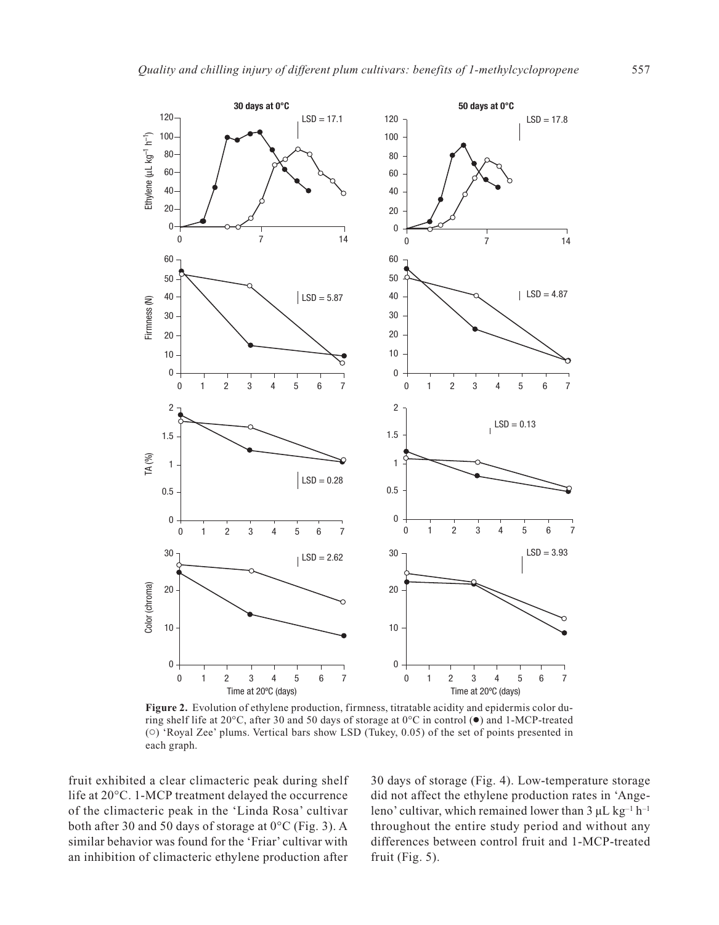

**Figure 2.** Evolution of ethylene production, firmness, titratable acidity and epidermis color during shelf life at 20 $^{\circ}$ C, after 30 and 50 days of storage at 0 $^{\circ}$ C in control ( $\bullet$ ) and 1-MCP-treated () 'Royal Zee' plums. Vertical bars show LSD (Tukey, 0.05) of the set of points presented in each graph.

fruit exhibited a clear climacteric peak during shelf life at 20°C. 1-MCP treatment delayed the occurrence of the climacteric peak in the 'Linda Rosa' cultivar both after 30 and 50 days of storage at 0°C (Fig. 3). A similar behavior was found for the 'Friar' cultivar with an inhibition of climacteric ethylene production after 30 days of storage (Fig. 4). Low-temperature storage did not affect the ethylene production rates in 'Angeleno' cultivar, which remained lower than  $3 \mu L kg^{-1} h^{-1}$ throughout the entire study period and without any differences between control fruit and 1-MCP-treated fruit (Fig. 5).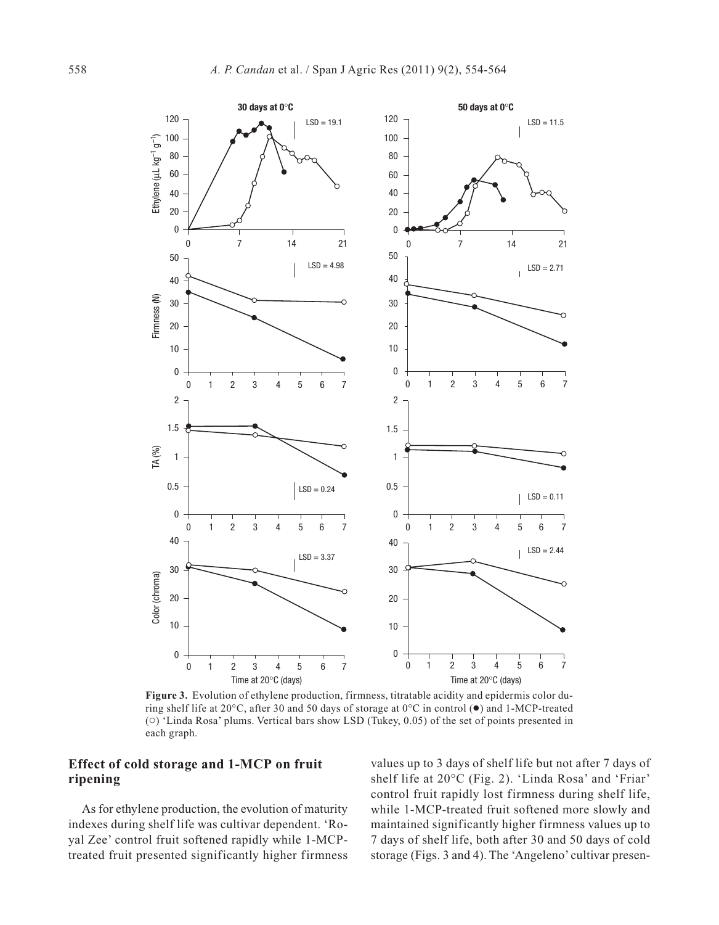

**Figure 3.** Evolution of ethylene production, firmness, titratable acidity and epidermis color during shelf life at 20 $^{\circ}$ C, after 30 and 50 days of storage at 0 $^{\circ}$ C in control ( $\bullet$ ) and 1-MCP-treated () 'Linda Rosa' plums. Vertical bars show LSD (Tukey, 0.05) of the set of points presented in each graph.

## **Effect of cold storage and 1-MCP on fruit ripening**

As for ethylene production, the evolution of maturity indexes during shelf life was cultivar dependent. 'Royal Zee' control fruit softened rapidly while 1-MCPtreated fruit presented significantly higher firmness

values up to 3 days of shelf life but not after 7 days of shelf life at 20°C (Fig. 2). 'Linda Rosa' and 'Friar' control fruit rapidly lost firmness during shelf life, while 1-MCP-treated fruit softened more slowly and maintained significantly higher firmness values up to 7 days of shelf life, both after 30 and 50 days of cold storage (Figs. 3 and 4). The 'Angeleno' cultivar presen-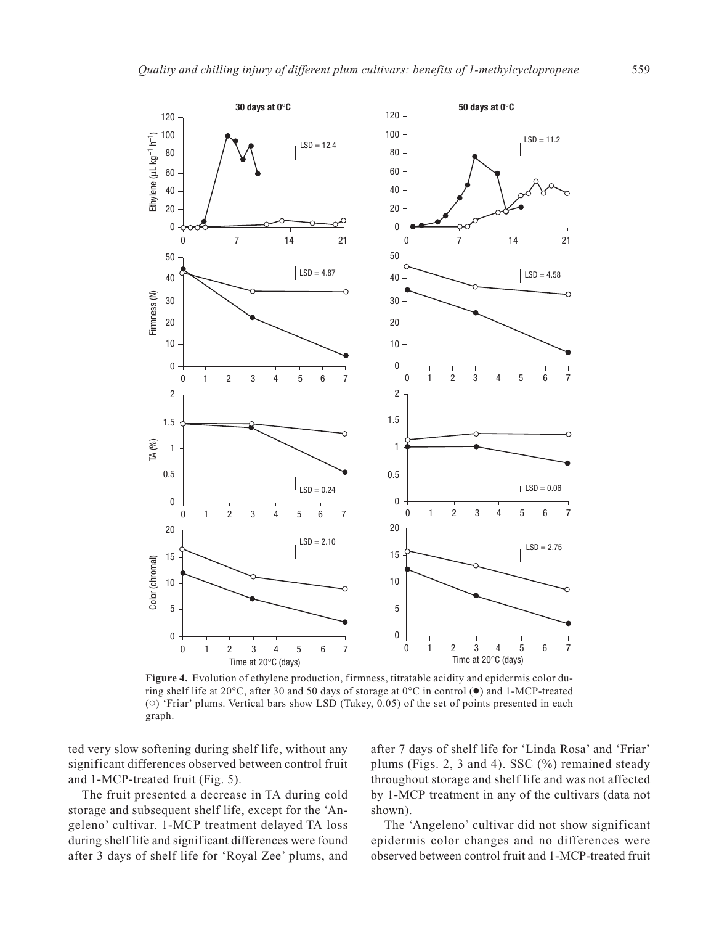

**Figure 4.** Evolution of ethylene production, firmness, titratable acidity and epidermis color during shelf life at 20°C, after 30 and 50 days of storage at 0°C in control (●) and 1-MCP-treated  $(0)$  'Friar' plums. Vertical bars show LSD (Tukey, 0.05) of the set of points presented in each graph.

ted very slow softening during shelf life, without any significant differences observed between control fruit and 1-MCP-treated fruit (Fig. 5).

The fruit presented a decrease in TA during cold storage and subsequent shelf life, except for the 'Angeleno' cultivar. 1-MCP treatment delayed TA loss during shelf life and significant differences were found after 3 days of shelf life for 'Royal Zee' plums, and

after 7 days of shelf life for 'Linda Rosa' and 'Friar' plums (Figs. 2, 3 and 4). SSC (%) remained steady throughout storage and shelf life and was not affected by 1-MCP treatment in any of the cultivars (data not shown).

The 'Angeleno' cultivar did not show significant epidermis color changes and no differences were observed between control fruit and 1-MCP-treated fruit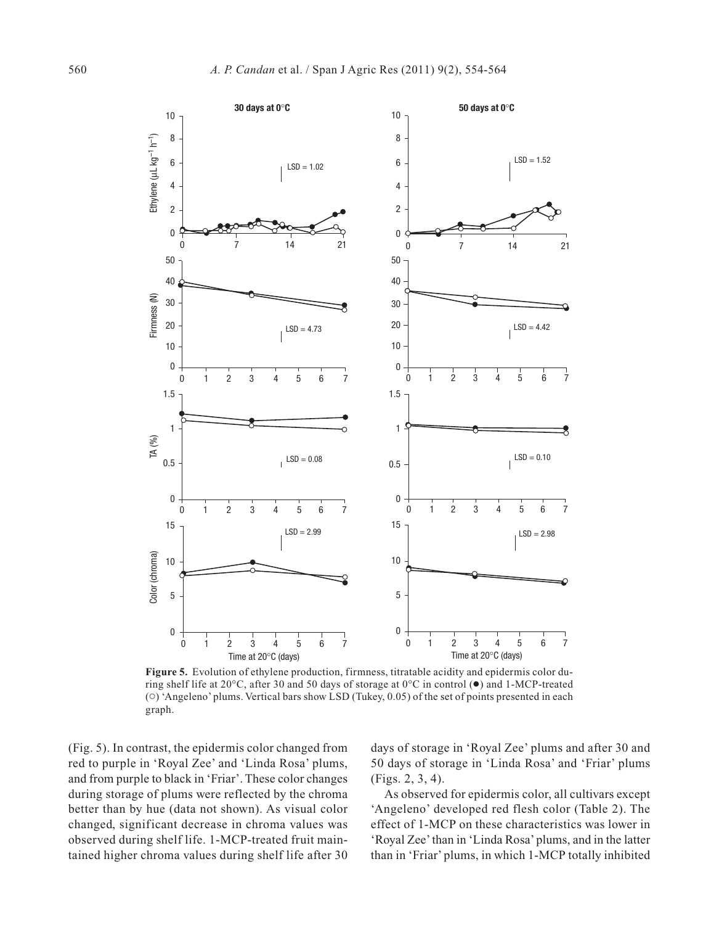

**Figure 5.** Evolution of ethylene production, firmness, titratable acidity and epidermis color during shelf life at 20 $^{\circ}$ C, after 30 and 50 days of storage at 0 $^{\circ}$ C in control ( $\bullet$ ) and 1-MCP-treated () 'Angeleno' plums. Vertical bars show LSD (Tukey, 0.05) of the set of points presented in each graph.

(Fig. 5). In contrast, the epidermis color changed from red to purple in 'Royal Zee' and 'Linda Rosa' plums, and from purple to black in 'Friar'. These color changes during storage of plums were reflected by the chroma better than by hue (data not shown). As visual color changed, significant decrease in chroma values was observed during shelf life. 1-MCP-treated fruit maintained higher chroma values during shelf life after 30 days of storage in 'Royal Zee' plums and after 30 and 50 days of storage in 'Linda Rosa' and 'Friar' plums (Figs. 2, 3, 4).

As observed for epidermis color, all cultivars except 'Angeleno' developed red flesh color (Table 2). The effect of 1-MCP on these characteristics was lower in 'Royal Zee' than in 'Linda Rosa' plums, and in the latter than in 'Friar' plums, in which 1-MCP totally inhibited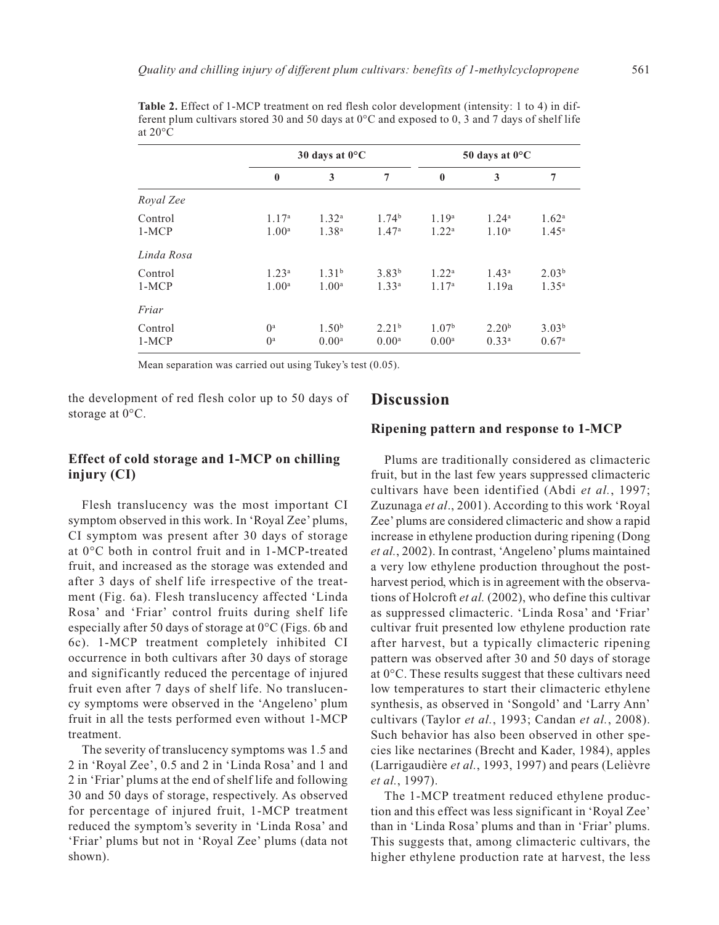|                    | 30 days at $0^{\circ}$ C               |                                        |                                        | 50 days at $0^{\circ}$ C               |                                        |                                        |
|--------------------|----------------------------------------|----------------------------------------|----------------------------------------|----------------------------------------|----------------------------------------|----------------------------------------|
|                    | $\bf{0}$                               | 3                                      | 7                                      | $\bf{0}$                               | 3                                      | 7                                      |
| Royal Zee          |                                        |                                        |                                        |                                        |                                        |                                        |
| Control<br>$1-MCP$ | 1.17 <sup>a</sup><br>1.00 <sup>a</sup> | 1.32 <sup>a</sup><br>$1.38^{a}$        | 1.74 <sup>b</sup><br>1.47 <sup>a</sup> | 1.19 <sup>a</sup><br>1.22 <sup>a</sup> | 1.24 <sup>a</sup><br>1.10 <sup>a</sup> | 1.62 <sup>a</sup><br>$1.45^{\rm a}$    |
| Linda Rosa         |                                        |                                        |                                        |                                        |                                        |                                        |
| Control<br>$1-MCP$ | 1.23 <sup>a</sup><br>1.00 <sup>a</sup> | 1.31 <sup>b</sup><br>1.00 <sup>a</sup> | $3.83^{b}$<br>1.33 <sup>a</sup>        | 1.22 <sup>a</sup><br>1.17 <sup>a</sup> | 1.43 <sup>a</sup><br>1.19a             | 2.03 <sup>b</sup><br>$1.35^{\rm a}$    |
| Friar              |                                        |                                        |                                        |                                        |                                        |                                        |
| Control<br>$1-MCP$ | $0^{\rm a}$<br>$\mathbf{0}^{\text{a}}$ | 1.50 <sup>b</sup><br>0.00 <sup>a</sup> | 2.21 <sup>b</sup><br>$0.00^{\rm a}$    | 1.07 <sup>b</sup><br>$0.00^{\rm a}$    | 2.20 <sup>b</sup><br>0.33 <sup>a</sup> | 3.03 <sup>b</sup><br>0.67 <sup>a</sup> |

**Table 2.** Effect of 1-MCP treatment on red flesh color development (intensity: 1 to 4) in different plum cultivars stored 30 and 50 days at  $0^{\circ}$ C and exposed to 0, 3 and 7 days of shelf life at  $20^{\circ}$ C

Mean separation was carried out using Tukey's test (0.05).

the development of red flesh color up to 50 days of storage at 0°C.

### **Discussion**

## **Effect of cold storage and 1-MCP on chilling injury (CI)**

Flesh translucency was the most important CI symptom observed in this work. In 'Royal Zee' plums, CI symptom was present after 30 days of storage at 0°C both in control fruit and in 1-MCP-treated fruit, and increased as the storage was extended and after 3 days of shelf life irrespective of the treatment (Fig. 6a). Flesh translucency affected 'Linda Rosa' and 'Friar' control fruits during shelf life especially after 50 days of storage at 0°C (Figs. 6b and 6c). 1-MCP treatment completely inhibited CI occurrence in both cultivars after 30 days of storage and significantly reduced the percentage of injured fruit even after 7 days of shelf life. No translucency symptoms were observed in the 'Angeleno' plum fruit in all the tests performed even without 1-MCP treatment.

The severity of translucency symptoms was 1.5 and 2 in 'Royal Zee', 0.5 and 2 in 'Linda Rosa' and 1 and 2 in 'Friar' plums at the end of shelf life and following 30 and 50 days of storage, respectively. As observed for percentage of injured fruit, 1-MCP treatment reduced the symptom's severity in 'Linda Rosa' and 'Friar' plums but not in 'Royal Zee' plums (data not shown).

# **Ripening pattern and response to 1-MCP**

Plums are traditionally considered as climacteric fruit, but in the last few years suppressed climacteric cultivars have been identified (Abdi *et al.*, 1997; Zuzunaga *et al*., 2001). According to this work 'Royal Zee' plums are considered climacteric and show a rapid increase in ethylene production during ripening (Dong *et al.*, 2002). In contrast, 'Angeleno' plums maintained a very low ethylene production throughout the postharvest period, which is in agreement with the observations of Holcroft *et al.* (2002), who define this cultivar as suppressed climacteric. 'Linda Rosa' and 'Friar' cultivar fruit presented low ethylene production rate after harvest, but a typically climacteric ripening pattern was observed after 30 and 50 days of storage at 0°C. These results suggest that these cultivars need low temperatures to start their climacteric ethylene synthesis, as observed in 'Songold' and 'Larry Ann' cultivars (Taylor *et al.*, 1993; Candan *et al.*, 2008). Such behavior has also been observed in other species like nectarines (Brecht and Kader, 1984), apples (Larrigaudière *et al.*, 1993, 1997) and pears (Lelièvre *et al.*, 1997).

The 1-MCP treatment reduced ethylene production and this effect was less significant in 'Royal Zee' than in 'Linda Rosa' plums and than in 'Friar' plums. This suggests that, among climacteric cultivars, the higher ethylene production rate at harvest, the less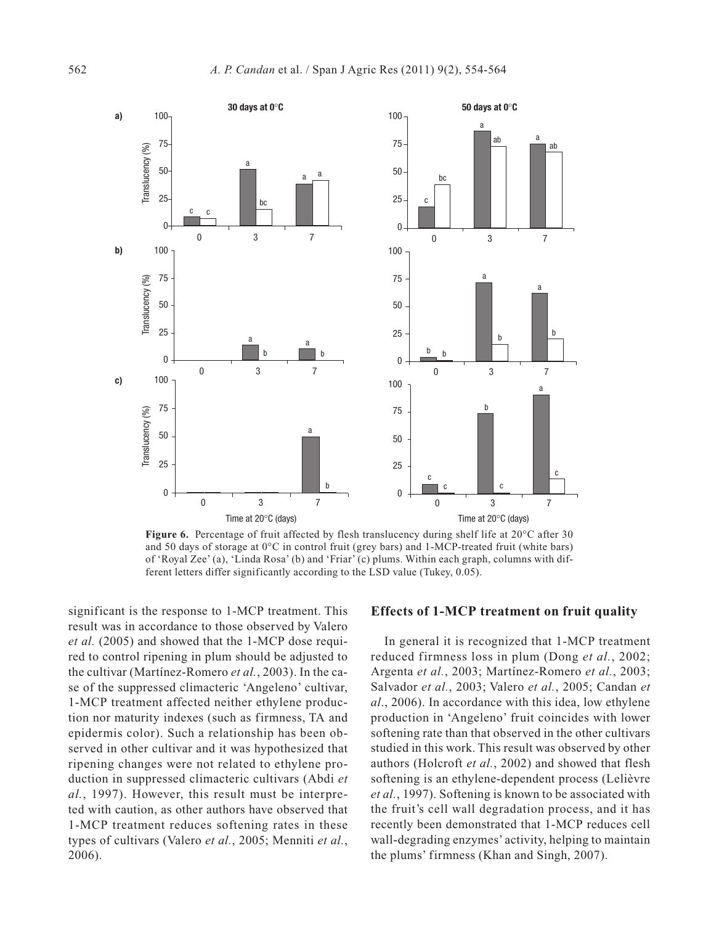

Figure 6. Percentage of fruit affected by flesh translucency during shelf life at 20°C after 30 and 50 days of storage at 0°C in control fruit (grey bars) and 1-MCP-treated fruit (white bars) of 'Royal Zee' (a), 'Linda Rosa' (b) and 'Friar' (c) plums. Within each graph, columns with different letters differ significantly according to the LSD value (Tukey, 0.05).

significant is the response to 1-MCP treatment. This result was in accordance to those observed by Valero *et al.* (2005) and showed that the 1-MCP dose required to control ripening in plum should be adjusted to the cultivar (Martínez-Romero *et al.*, 2003). In the case of the suppressed climacteric 'Angeleno' cultivar, 1-MCP treatment affected neither ethylene production nor maturity indexes (such as firmness, TA and epidermis color). Such a relationship has been observed in other cultivar and it was hypothesized that ripening changes were not related to ethylene production in suppressed climacteric cultivars (Abdi *et al.*, 1997). However, this result must be interpreted with caution, as other authors have observed that 1-MCP treatment reduces softening rates in these types of cultivars (Valero *et al.*, 2005; Menniti *et al.*, 2006).

#### **Effects of 1-MCP treatment on fruit quality**

In general it is recognized that 1-MCP treatment reduced firmness loss in plum (Dong *et al.*, 2002; Argenta *et al.*, 2003; Martínez-Romero *et al.*, 2003; Salvador *et al.*, 2003; Valero *et al.*, 2005; Candan *et al*., 2006). In accordance with this idea, low ethylene production in 'Angeleno' fruit coincides with lower softening rate than that observed in the other cultivars studied in this work. This result was observed by other authors (Holcroft *et al.*, 2002) and showed that flesh softening is an ethylene-dependent process (Lelièvre *et al.*, 1997). Softening is known to be associated with the fruit's cell wall degradation process, and it has recently been demonstrated that 1-MCP reduces cell wall-degrading enzymes' activity, helping to maintain the plums' firmness (Khan and Singh, 2007).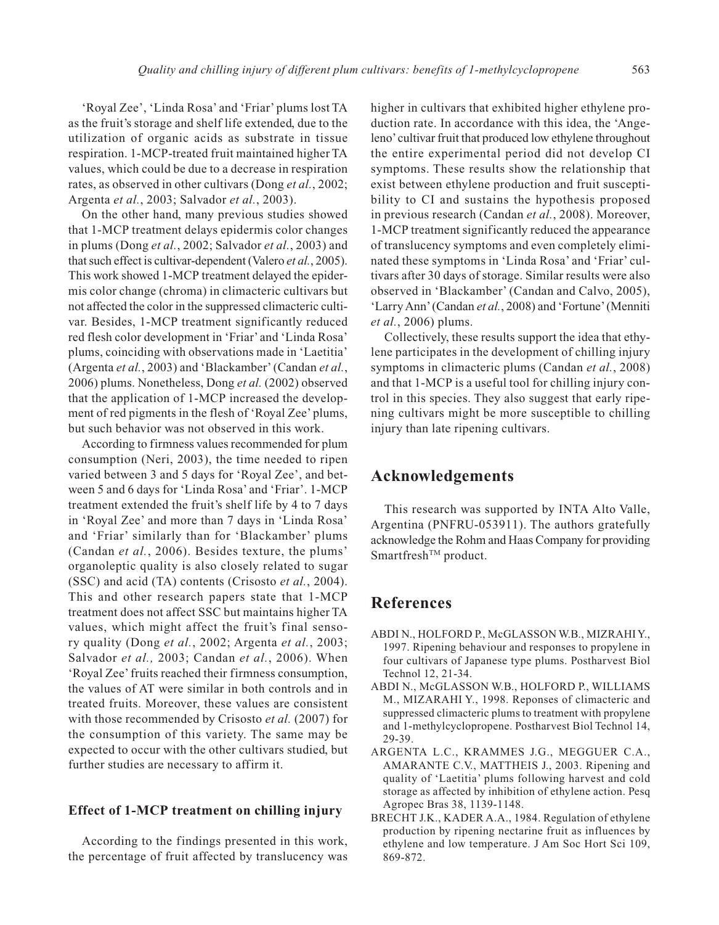'Royal Zee', 'Linda Rosa' and 'Friar' plums lost TA as the fruit's storage and shelf life extended, due to the utilization of organic acids as substrate in tissue respiration. 1-MCP-treated fruit maintained higher TA values, which could be due to a decrease in respiration rates, as observed in other cultivars (Dong *et al.*, 2002; Argenta *et al.*, 2003; Salvador *et al.*, 2003).

On the other hand, many previous studies showed that 1-MCP treatment delays epidermis color changes in plums (Dong *et al.*, 2002; Salvador *et al.*, 2003) and that such effect is cultivar-dependent (Valero *et al.*, 2005). This work showed 1-MCP treatment delayed the epidermis color change (chroma) in climacteric cultivars but not affected the color in the suppressed climacteric cultivar. Besides, 1-MCP treatment significantly reduced red flesh color development in 'Friar' and 'Linda Rosa' plums, coinciding with observations made in 'Laetitia' (Argenta *et al.*, 2003) and 'Blackamber'(Candan *et al.*, 2006) plums. Nonetheless, Dong *et al.* (2002) observed that the application of 1-MCP increased the development of red pigments in the flesh of 'Royal Zee' plums, but such behavior was not observed in this work.

According to firmness values recommended for plum consumption (Neri, 2003), the time needed to ripen varied between 3 and 5 days for 'Royal Zee', and between 5 and 6 days for 'Linda Rosa' and 'Friar'. 1-MCP treatment extended the fruit's shelf life by 4 to 7 days in 'Royal Zee' and more than 7 days in 'Linda Rosa' and 'Friar' similarly than for 'Blackamber' plums (Candan *et al.*, 2006). Besides texture, the plums' organoleptic quality is also closely related to sugar (SSC) and acid (TA) contents (Crisosto *et al.*, 2004). This and other research papers state that 1-MCP treatment does not affect SSC but maintains higher TA values, which might affect the fruit's final sensory quality (Dong *et al.*, 2002; Argenta *et al.*, 2003; Salvador *et al.,* 2003; Candan *et al.*, 2006). When 'Royal Zee' fruits reached their firmness consumption, the values of AT were similar in both controls and in treated fruits. Moreover, these values are consistent with those recommended by Crisosto *et al.* (2007) for the consumption of this variety. The same may be expected to occur with the other cultivars studied, but further studies are necessary to affirm it.

## **Effect of 1-MCP treatment on chilling injury**

According to the findings presented in this work, the percentage of fruit affected by translucency was higher in cultivars that exhibited higher ethylene production rate. In accordance with this idea, the 'Angeleno'cultivar fruit that produced low ethylene throughout the entire experimental period did not develop CI symptoms. These results show the relationship that exist between ethylene production and fruit susceptibility to CI and sustains the hypothesis proposed in previous research (Candan *et al.*, 2008). Moreover, 1-MCP treatment significantly reduced the appearance of translucency symptoms and even completely eliminated these symptoms in 'Linda Rosa' and 'Friar' cultivars after 30 days of storage. Similar results were also observed in 'Blackamber' (Candan and Calvo, 2005), 'Larry Ann'(Candan *et al.*, 2008) and 'Fortune'(Menniti *et al.*, 2006) plums.

Collectively, these results support the idea that ethylene participates in the development of chilling injury symptoms in climacteric plums (Candan *et al.*, 2008) and that 1-MCP is a useful tool for chilling injury control in this species. They also suggest that early ripening cultivars might be more susceptible to chilling injury than late ripening cultivars.

## **Acknowledgements**

This research was supported by INTA Alto Valle, Argentina (PNFRU-053911). The authors gratefully acknowledge the Rohm and Haas Company for providing Smartfresh<sup>™</sup> product.

# **References**

- ABDI N., HOLFORD P., McGLASSON W.B., MIZRAHI Y., 1997. Ripening behaviour and responses to propylene in four cultivars of Japanese type plums. Postharvest Biol Technol 12, 21-34.
- ABDI N., McGLASSON W.B., HOLFORD P., WILLIAMS M., MIZARAHI Y., 1998. Reponses of climacteric and suppressed climacteric plums to treatment with propylene and 1-methylcyclopropene. Postharvest Biol Technol 14, 29-39.
- ARGENTA L.C., KRAMMES J.G., MEGGUER C.A., AMARANTE C.V., MATTHEIS J., 2003. Ripening and quality of 'Laetitia' plums following harvest and cold storage as affected by inhibition of ethylene action. Pesq Agropec Bras 38, 1139-1148.
- BRECHT J.K., KADER A.A., 1984. Regulation of ethylene production by ripening nectarine fruit as influences by ethylene and low temperature. J Am Soc Hort Sci 109, 869-872.